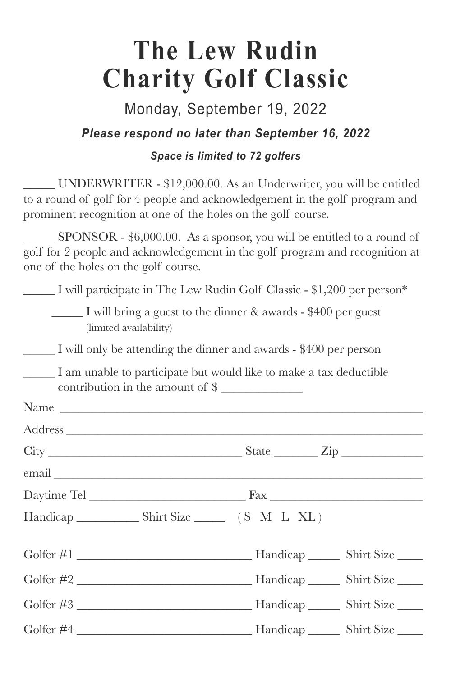### **The Lew Rudin Charity Golf Classic**

Monday, September 19, 2022

*Please respond no later than September 16, 2022*

### *Space is limited to 72 golfers*

\_\_\_\_\_ UNDERWRITER - \$12,000.00. As an Underwriter, you will be entitled to a round of golf for 4 people and acknowledgement in the golf program and prominent recognition at one of the holes on the golf course.

\_\_\_\_\_ SPONSOR - \$6,000.00. As a sponsor, you will be entitled to a round of golf for 2 people and acknowledgement in the golf program and recognition at one of the holes on the golf course.

\_\_\_\_\_ I will participate in The Lew Rudin Golf Classic - \$1,200 per person\*

\_\_\_\_\_ I will bring a guest to the dinner & awards - \$400 per guest (limited availability)

\_\_\_\_\_ I will only be attending the dinner and awards - \$400 per person

I am unable to participate but would like to make a tax deductible contribution in the amount of  $\frac{1}{2}$ 

| Golfer #3 |  |  |
|-----------|--|--|
|           |  |  |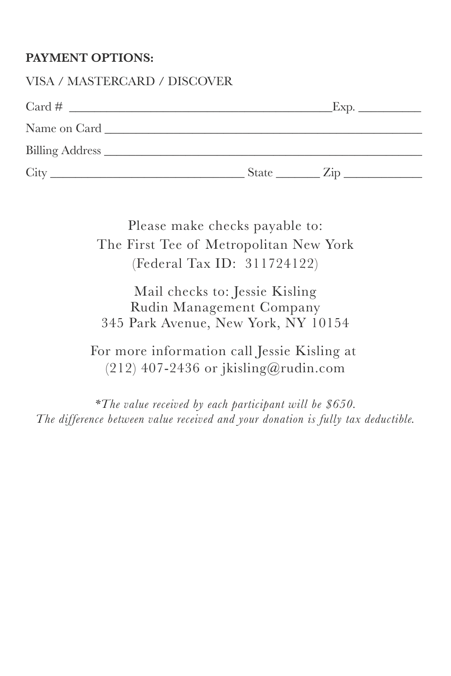#### **PAYMENT OPTIONS:**

#### VISA / MASTERCARD / DISCOVER

| Card $#$               |              | Exp.        |
|------------------------|--------------|-------------|
| Name on Card           |              |             |
| <b>Billing Address</b> |              |             |
| City                   | <b>State</b> | $\angle$ id |

Please make checks payable to: The First Tee of Metropolitan New York (Federal Tax ID: 311724122)

Mail checks to: Jessie Kisling Rudin Management Company 345 Park Avenue, New York, NY 10154

For more information call Jessie Kisling at  $(212)$  407-2436 or jkisling@rudin.com

*\*The value received by each participant will be \$650. The difference between value received and your donation is fully tax deductible.*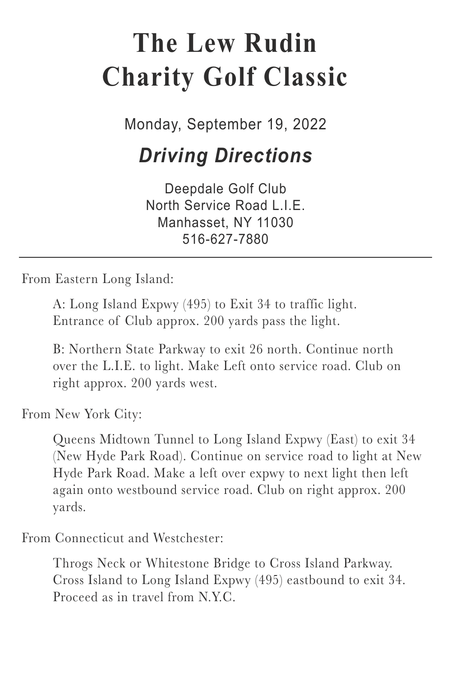## **The Lew Rudin Charity Golf Classic**

Monday, September 19, 2022

*Driving Directions*

Deepdale Golf Club North Service Road L.I.E. Manhasset, NY 11030 516-627-7880

From Eastern Long Island:

A: Long Island Expwy (495) to Exit 34 to traffic light. Entrance of Club approx. 200 yards pass the light.

B: Northern State Parkway to exit 26 north. Continue north over the L.I.E. to light. Make Left onto service road. Club on right approx. 200 yards west.

From New York City:

Queens Midtown Tunnel to Long Island Expwy (East) to exit 34 (New Hyde Park Road). Continue on service road to light at New Hyde Park Road. Make a left over expwy to next light then left again onto westbound service road. Club on right approx. 200 yards.

From Connecticut and Westchester:

Throgs Neck or Whitestone Bridge to Cross Island Parkway. Cross Island to Long Island Expwy (495) eastbound to exit 34. Proceed as in travel from N.Y.C.